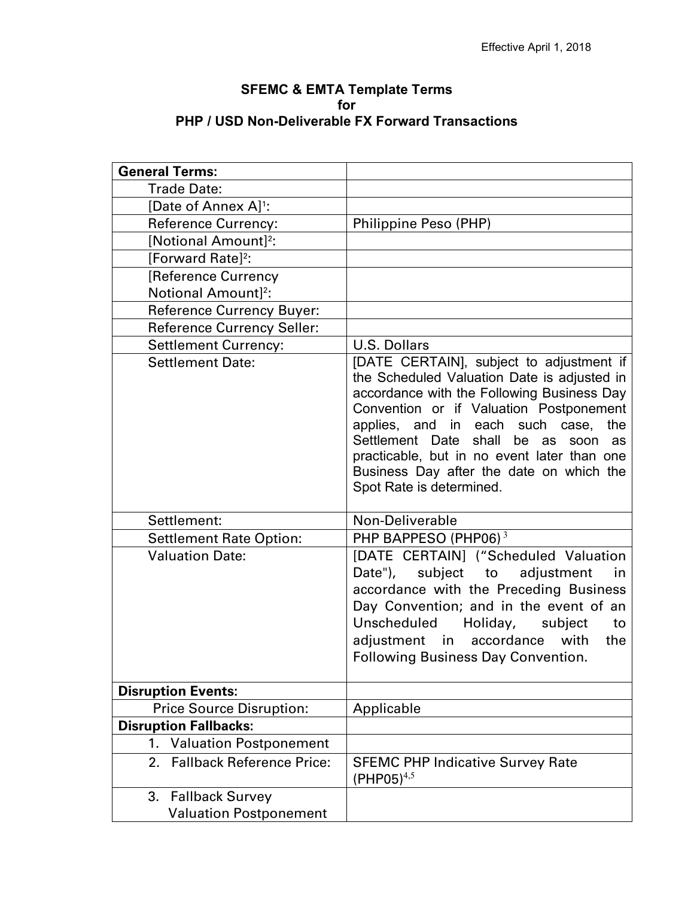## **SFEMC & EMTA Template Terms for PHP / USD Non-Deliverable FX Forward Transactions**

| <b>General Terms:</b>                  |                                                                                                                                                                                                                                                                                                                                                                                                      |
|----------------------------------------|------------------------------------------------------------------------------------------------------------------------------------------------------------------------------------------------------------------------------------------------------------------------------------------------------------------------------------------------------------------------------------------------------|
|                                        |                                                                                                                                                                                                                                                                                                                                                                                                      |
| <b>Trade Date:</b>                     |                                                                                                                                                                                                                                                                                                                                                                                                      |
| [Date of Annex A] <sup>1</sup> :       |                                                                                                                                                                                                                                                                                                                                                                                                      |
| <b>Reference Currency:</b>             | Philippine Peso (PHP)                                                                                                                                                                                                                                                                                                                                                                                |
| [Notional Amount] <sup>2</sup> :       |                                                                                                                                                                                                                                                                                                                                                                                                      |
| [Forward Rate] <sup>2</sup> :          |                                                                                                                                                                                                                                                                                                                                                                                                      |
| <b>[Reference Currency</b>             |                                                                                                                                                                                                                                                                                                                                                                                                      |
| Notional Amount] <sup>2</sup> :        |                                                                                                                                                                                                                                                                                                                                                                                                      |
| <b>Reference Currency Buyer:</b>       |                                                                                                                                                                                                                                                                                                                                                                                                      |
| <b>Reference Currency Seller:</b>      |                                                                                                                                                                                                                                                                                                                                                                                                      |
| <b>Settlement Currency:</b>            | <b>U.S. Dollars</b>                                                                                                                                                                                                                                                                                                                                                                                  |
| <b>Settlement Date:</b>                | [DATE CERTAIN], subject to adjustment if<br>the Scheduled Valuation Date is adjusted in<br>accordance with the Following Business Day<br>Convention or if Valuation Postponement<br>applies, and in each such case,<br>the<br>Settlement Date<br>shall<br>be as<br>soon<br>as<br>practicable, but in no event later than one<br>Business Day after the date on which the<br>Spot Rate is determined. |
| Settlement:                            | Non-Deliverable                                                                                                                                                                                                                                                                                                                                                                                      |
| <b>Settlement Rate Option:</b>         | PHP BAPPESO (PHP06) <sup>3</sup>                                                                                                                                                                                                                                                                                                                                                                     |
| <b>Valuation Date:</b>                 | [DATE CERTAIN] ("Scheduled Valuation<br>Date"), subject to adjustment<br>in<br>accordance with the Preceding Business<br>Day Convention; and in the event of an<br>Unscheduled<br>Holiday,<br>subject<br>to<br>adjustment in accordance with<br>the<br><b>Following Business Day Convention.</b>                                                                                                     |
| <b>Disruption Events:</b>              |                                                                                                                                                                                                                                                                                                                                                                                                      |
| <b>Price Source Disruption:</b>        | Applicable                                                                                                                                                                                                                                                                                                                                                                                           |
| <b>Disruption Fallbacks:</b>           |                                                                                                                                                                                                                                                                                                                                                                                                      |
| <b>Valuation Postponement</b><br>1.    |                                                                                                                                                                                                                                                                                                                                                                                                      |
| <b>Fallback Reference Price:</b><br>2. | <b>SFEMC PHP Indicative Survey Rate</b><br>$(PHPO5)^{4,5}$                                                                                                                                                                                                                                                                                                                                           |
| <b>Fallback Survey</b><br>3.           |                                                                                                                                                                                                                                                                                                                                                                                                      |
| <b>Valuation Postponement</b>          |                                                                                                                                                                                                                                                                                                                                                                                                      |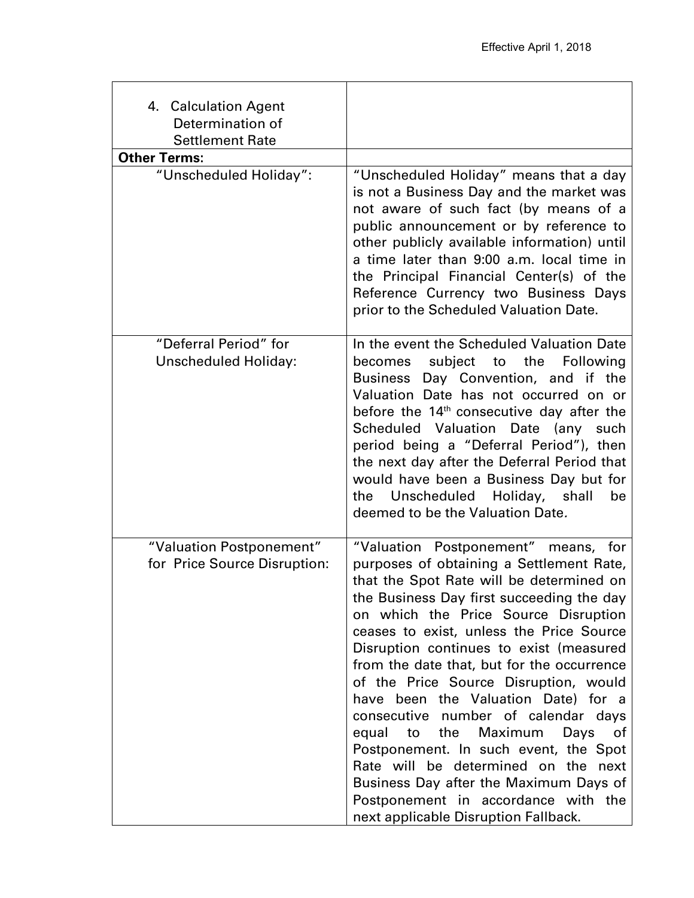| 4. Calculation Agent<br>Determination of<br><b>Settlement Rate</b> |                                                                                                                                                                                                                                                                                                                                                                                                                                                                                                                                                                                                                                                                                                                                      |
|--------------------------------------------------------------------|--------------------------------------------------------------------------------------------------------------------------------------------------------------------------------------------------------------------------------------------------------------------------------------------------------------------------------------------------------------------------------------------------------------------------------------------------------------------------------------------------------------------------------------------------------------------------------------------------------------------------------------------------------------------------------------------------------------------------------------|
| <b>Other Terms:</b>                                                |                                                                                                                                                                                                                                                                                                                                                                                                                                                                                                                                                                                                                                                                                                                                      |
| "Unscheduled Holiday":                                             | "Unscheduled Holiday" means that a day<br>is not a Business Day and the market was<br>not aware of such fact (by means of a<br>public announcement or by reference to<br>other publicly available information) until<br>a time later than 9:00 a.m. local time in<br>the Principal Financial Center(s) of the<br>Reference Currency two Business Days<br>prior to the Scheduled Valuation Date.                                                                                                                                                                                                                                                                                                                                      |
| "Deferral Period" for<br><b>Unscheduled Holiday:</b>               | In the event the Scheduled Valuation Date<br>becomes subject to the Following<br>Business Day Convention, and if the<br>Valuation Date has not occurred on or<br>before the 14 <sup>th</sup> consecutive day after the<br>Scheduled Valuation Date (any such<br>period being a "Deferral Period"), then<br>the next day after the Deferral Period that<br>would have been a Business Day but for<br>Unscheduled Holiday, shall<br>be<br>the<br>deemed to be the Valuation Date.                                                                                                                                                                                                                                                      |
| "Valuation Postponement"<br>for Price Source Disruption:           | "Valuation Postponement" means, for<br>purposes of obtaining a Settlement Rate,<br>that the Spot Rate will be determined on<br>the Business Day first succeeding the day<br>on which the Price Source Disruption<br>ceases to exist, unless the Price Source<br>Disruption continues to exist (measured<br>from the date that, but for the occurrence<br>of the Price Source Disruption, would<br>have been the Valuation Date) for a<br>consecutive number of calendar days<br>the<br>Maximum<br>equal<br>Days<br>to<br>of<br>Postponement. In such event, the Spot<br>Rate will be determined on the next<br>Business Day after the Maximum Days of<br>Postponement in accordance with the<br>next applicable Disruption Fallback. |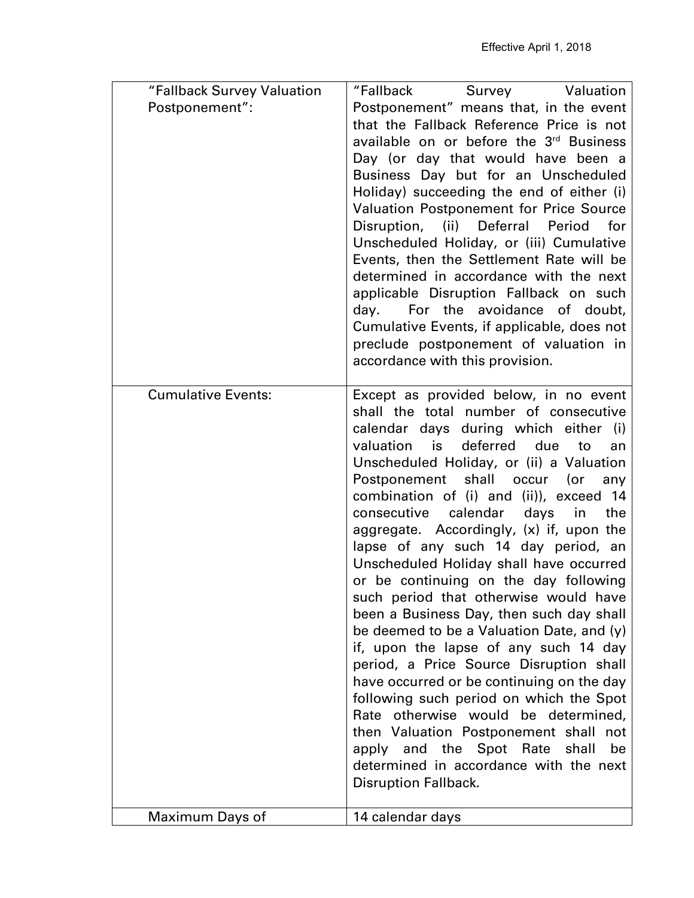| Postponement":<br>Postponement" means that, in the event<br>that the Fallback Reference Price is not<br>available on or before the 3rd Business<br>Day (or day that would have been a<br>Business Day but for an Unscheduled<br>Holiday) succeeding the end of either (i)<br><b>Valuation Postponement for Price Source</b><br>Disruption,<br>(ii) Deferral<br>Period<br>for<br>Unscheduled Holiday, or (iii) Cumulative<br>Events, then the Settlement Rate will be<br>determined in accordance with the next<br>applicable Disruption Fallback on such<br>day. For the avoidance of doubt,<br>Cumulative Events, if applicable, does not<br>preclude postponement of valuation in<br>accordance with this provision.<br><b>Cumulative Events:</b><br>Except as provided below, in no event<br>shall the total number of consecutive<br>calendar days during which either (i)<br>deferred<br>valuation<br>is is the set of the set of the set of the set of the set of the set of the set of the set of the set of the s<br>due<br>to<br>an<br>Unscheduled Holiday, or (ii) a Valuation<br>Postponement shall occur<br>(or<br>any<br>combination of (i) and (ii)), exceed 14<br>consecutive calendar<br>days<br>in<br>the<br>aggregate. Accordingly, (x) if, upon the<br>lapse of any such 14 day period, an<br>Unscheduled Holiday shall have occurred<br>or be continuing on the day following<br>such period that otherwise would have<br>been a Business Day, then such day shall<br>be deemed to be a Valuation Date, and (y)<br>if, upon the lapse of any such 14 day<br>period, a Price Source Disruption shall<br>have occurred or be continuing on the day<br>following such period on which the Spot<br>otherwise would be determined,<br>Rate<br>then Valuation Postponement shall not<br>apply and the Spot Rate<br>shall<br>be<br>determined in accordance with the next<br><b>Disruption Fallback.</b> | "Fallback Survey Valuation | "Fallback<br>Survey Valuation |
|-----------------------------------------------------------------------------------------------------------------------------------------------------------------------------------------------------------------------------------------------------------------------------------------------------------------------------------------------------------------------------------------------------------------------------------------------------------------------------------------------------------------------------------------------------------------------------------------------------------------------------------------------------------------------------------------------------------------------------------------------------------------------------------------------------------------------------------------------------------------------------------------------------------------------------------------------------------------------------------------------------------------------------------------------------------------------------------------------------------------------------------------------------------------------------------------------------------------------------------------------------------------------------------------------------------------------------------------------------------------------------------------------------------------------------------------------------------------------------------------------------------------------------------------------------------------------------------------------------------------------------------------------------------------------------------------------------------------------------------------------------------------------------------------------------------------------------------------------------------------------------------------------------------------------|----------------------------|-------------------------------|
|                                                                                                                                                                                                                                                                                                                                                                                                                                                                                                                                                                                                                                                                                                                                                                                                                                                                                                                                                                                                                                                                                                                                                                                                                                                                                                                                                                                                                                                                                                                                                                                                                                                                                                                                                                                                                                                                                                                       |                            |                               |
|                                                                                                                                                                                                                                                                                                                                                                                                                                                                                                                                                                                                                                                                                                                                                                                                                                                                                                                                                                                                                                                                                                                                                                                                                                                                                                                                                                                                                                                                                                                                                                                                                                                                                                                                                                                                                                                                                                                       |                            |                               |
|                                                                                                                                                                                                                                                                                                                                                                                                                                                                                                                                                                                                                                                                                                                                                                                                                                                                                                                                                                                                                                                                                                                                                                                                                                                                                                                                                                                                                                                                                                                                                                                                                                                                                                                                                                                                                                                                                                                       |                            |                               |
|                                                                                                                                                                                                                                                                                                                                                                                                                                                                                                                                                                                                                                                                                                                                                                                                                                                                                                                                                                                                                                                                                                                                                                                                                                                                                                                                                                                                                                                                                                                                                                                                                                                                                                                                                                                                                                                                                                                       |                            |                               |
|                                                                                                                                                                                                                                                                                                                                                                                                                                                                                                                                                                                                                                                                                                                                                                                                                                                                                                                                                                                                                                                                                                                                                                                                                                                                                                                                                                                                                                                                                                                                                                                                                                                                                                                                                                                                                                                                                                                       |                            |                               |
|                                                                                                                                                                                                                                                                                                                                                                                                                                                                                                                                                                                                                                                                                                                                                                                                                                                                                                                                                                                                                                                                                                                                                                                                                                                                                                                                                                                                                                                                                                                                                                                                                                                                                                                                                                                                                                                                                                                       |                            |                               |
|                                                                                                                                                                                                                                                                                                                                                                                                                                                                                                                                                                                                                                                                                                                                                                                                                                                                                                                                                                                                                                                                                                                                                                                                                                                                                                                                                                                                                                                                                                                                                                                                                                                                                                                                                                                                                                                                                                                       |                            |                               |
|                                                                                                                                                                                                                                                                                                                                                                                                                                                                                                                                                                                                                                                                                                                                                                                                                                                                                                                                                                                                                                                                                                                                                                                                                                                                                                                                                                                                                                                                                                                                                                                                                                                                                                                                                                                                                                                                                                                       |                            |                               |
|                                                                                                                                                                                                                                                                                                                                                                                                                                                                                                                                                                                                                                                                                                                                                                                                                                                                                                                                                                                                                                                                                                                                                                                                                                                                                                                                                                                                                                                                                                                                                                                                                                                                                                                                                                                                                                                                                                                       |                            |                               |
|                                                                                                                                                                                                                                                                                                                                                                                                                                                                                                                                                                                                                                                                                                                                                                                                                                                                                                                                                                                                                                                                                                                                                                                                                                                                                                                                                                                                                                                                                                                                                                                                                                                                                                                                                                                                                                                                                                                       |                            |                               |
|                                                                                                                                                                                                                                                                                                                                                                                                                                                                                                                                                                                                                                                                                                                                                                                                                                                                                                                                                                                                                                                                                                                                                                                                                                                                                                                                                                                                                                                                                                                                                                                                                                                                                                                                                                                                                                                                                                                       |                            |                               |
|                                                                                                                                                                                                                                                                                                                                                                                                                                                                                                                                                                                                                                                                                                                                                                                                                                                                                                                                                                                                                                                                                                                                                                                                                                                                                                                                                                                                                                                                                                                                                                                                                                                                                                                                                                                                                                                                                                                       |                            |                               |
|                                                                                                                                                                                                                                                                                                                                                                                                                                                                                                                                                                                                                                                                                                                                                                                                                                                                                                                                                                                                                                                                                                                                                                                                                                                                                                                                                                                                                                                                                                                                                                                                                                                                                                                                                                                                                                                                                                                       |                            |                               |
|                                                                                                                                                                                                                                                                                                                                                                                                                                                                                                                                                                                                                                                                                                                                                                                                                                                                                                                                                                                                                                                                                                                                                                                                                                                                                                                                                                                                                                                                                                                                                                                                                                                                                                                                                                                                                                                                                                                       |                            |                               |
|                                                                                                                                                                                                                                                                                                                                                                                                                                                                                                                                                                                                                                                                                                                                                                                                                                                                                                                                                                                                                                                                                                                                                                                                                                                                                                                                                                                                                                                                                                                                                                                                                                                                                                                                                                                                                                                                                                                       |                            |                               |
|                                                                                                                                                                                                                                                                                                                                                                                                                                                                                                                                                                                                                                                                                                                                                                                                                                                                                                                                                                                                                                                                                                                                                                                                                                                                                                                                                                                                                                                                                                                                                                                                                                                                                                                                                                                                                                                                                                                       |                            |                               |
|                                                                                                                                                                                                                                                                                                                                                                                                                                                                                                                                                                                                                                                                                                                                                                                                                                                                                                                                                                                                                                                                                                                                                                                                                                                                                                                                                                                                                                                                                                                                                                                                                                                                                                                                                                                                                                                                                                                       |                            |                               |
|                                                                                                                                                                                                                                                                                                                                                                                                                                                                                                                                                                                                                                                                                                                                                                                                                                                                                                                                                                                                                                                                                                                                                                                                                                                                                                                                                                                                                                                                                                                                                                                                                                                                                                                                                                                                                                                                                                                       |                            |                               |
|                                                                                                                                                                                                                                                                                                                                                                                                                                                                                                                                                                                                                                                                                                                                                                                                                                                                                                                                                                                                                                                                                                                                                                                                                                                                                                                                                                                                                                                                                                                                                                                                                                                                                                                                                                                                                                                                                                                       |                            |                               |
|                                                                                                                                                                                                                                                                                                                                                                                                                                                                                                                                                                                                                                                                                                                                                                                                                                                                                                                                                                                                                                                                                                                                                                                                                                                                                                                                                                                                                                                                                                                                                                                                                                                                                                                                                                                                                                                                                                                       |                            |                               |
|                                                                                                                                                                                                                                                                                                                                                                                                                                                                                                                                                                                                                                                                                                                                                                                                                                                                                                                                                                                                                                                                                                                                                                                                                                                                                                                                                                                                                                                                                                                                                                                                                                                                                                                                                                                                                                                                                                                       |                            |                               |
|                                                                                                                                                                                                                                                                                                                                                                                                                                                                                                                                                                                                                                                                                                                                                                                                                                                                                                                                                                                                                                                                                                                                                                                                                                                                                                                                                                                                                                                                                                                                                                                                                                                                                                                                                                                                                                                                                                                       |                            |                               |
|                                                                                                                                                                                                                                                                                                                                                                                                                                                                                                                                                                                                                                                                                                                                                                                                                                                                                                                                                                                                                                                                                                                                                                                                                                                                                                                                                                                                                                                                                                                                                                                                                                                                                                                                                                                                                                                                                                                       |                            |                               |
|                                                                                                                                                                                                                                                                                                                                                                                                                                                                                                                                                                                                                                                                                                                                                                                                                                                                                                                                                                                                                                                                                                                                                                                                                                                                                                                                                                                                                                                                                                                                                                                                                                                                                                                                                                                                                                                                                                                       |                            |                               |
|                                                                                                                                                                                                                                                                                                                                                                                                                                                                                                                                                                                                                                                                                                                                                                                                                                                                                                                                                                                                                                                                                                                                                                                                                                                                                                                                                                                                                                                                                                                                                                                                                                                                                                                                                                                                                                                                                                                       |                            |                               |
|                                                                                                                                                                                                                                                                                                                                                                                                                                                                                                                                                                                                                                                                                                                                                                                                                                                                                                                                                                                                                                                                                                                                                                                                                                                                                                                                                                                                                                                                                                                                                                                                                                                                                                                                                                                                                                                                                                                       |                            |                               |
|                                                                                                                                                                                                                                                                                                                                                                                                                                                                                                                                                                                                                                                                                                                                                                                                                                                                                                                                                                                                                                                                                                                                                                                                                                                                                                                                                                                                                                                                                                                                                                                                                                                                                                                                                                                                                                                                                                                       |                            |                               |
|                                                                                                                                                                                                                                                                                                                                                                                                                                                                                                                                                                                                                                                                                                                                                                                                                                                                                                                                                                                                                                                                                                                                                                                                                                                                                                                                                                                                                                                                                                                                                                                                                                                                                                                                                                                                                                                                                                                       |                            |                               |
|                                                                                                                                                                                                                                                                                                                                                                                                                                                                                                                                                                                                                                                                                                                                                                                                                                                                                                                                                                                                                                                                                                                                                                                                                                                                                                                                                                                                                                                                                                                                                                                                                                                                                                                                                                                                                                                                                                                       |                            |                               |
|                                                                                                                                                                                                                                                                                                                                                                                                                                                                                                                                                                                                                                                                                                                                                                                                                                                                                                                                                                                                                                                                                                                                                                                                                                                                                                                                                                                                                                                                                                                                                                                                                                                                                                                                                                                                                                                                                                                       |                            |                               |
|                                                                                                                                                                                                                                                                                                                                                                                                                                                                                                                                                                                                                                                                                                                                                                                                                                                                                                                                                                                                                                                                                                                                                                                                                                                                                                                                                                                                                                                                                                                                                                                                                                                                                                                                                                                                                                                                                                                       |                            |                               |
|                                                                                                                                                                                                                                                                                                                                                                                                                                                                                                                                                                                                                                                                                                                                                                                                                                                                                                                                                                                                                                                                                                                                                                                                                                                                                                                                                                                                                                                                                                                                                                                                                                                                                                                                                                                                                                                                                                                       |                            |                               |
|                                                                                                                                                                                                                                                                                                                                                                                                                                                                                                                                                                                                                                                                                                                                                                                                                                                                                                                                                                                                                                                                                                                                                                                                                                                                                                                                                                                                                                                                                                                                                                                                                                                                                                                                                                                                                                                                                                                       |                            |                               |
|                                                                                                                                                                                                                                                                                                                                                                                                                                                                                                                                                                                                                                                                                                                                                                                                                                                                                                                                                                                                                                                                                                                                                                                                                                                                                                                                                                                                                                                                                                                                                                                                                                                                                                                                                                                                                                                                                                                       |                            |                               |
|                                                                                                                                                                                                                                                                                                                                                                                                                                                                                                                                                                                                                                                                                                                                                                                                                                                                                                                                                                                                                                                                                                                                                                                                                                                                                                                                                                                                                                                                                                                                                                                                                                                                                                                                                                                                                                                                                                                       |                            |                               |
|                                                                                                                                                                                                                                                                                                                                                                                                                                                                                                                                                                                                                                                                                                                                                                                                                                                                                                                                                                                                                                                                                                                                                                                                                                                                                                                                                                                                                                                                                                                                                                                                                                                                                                                                                                                                                                                                                                                       |                            |                               |
|                                                                                                                                                                                                                                                                                                                                                                                                                                                                                                                                                                                                                                                                                                                                                                                                                                                                                                                                                                                                                                                                                                                                                                                                                                                                                                                                                                                                                                                                                                                                                                                                                                                                                                                                                                                                                                                                                                                       |                            |                               |
|                                                                                                                                                                                                                                                                                                                                                                                                                                                                                                                                                                                                                                                                                                                                                                                                                                                                                                                                                                                                                                                                                                                                                                                                                                                                                                                                                                                                                                                                                                                                                                                                                                                                                                                                                                                                                                                                                                                       |                            |                               |
|                                                                                                                                                                                                                                                                                                                                                                                                                                                                                                                                                                                                                                                                                                                                                                                                                                                                                                                                                                                                                                                                                                                                                                                                                                                                                                                                                                                                                                                                                                                                                                                                                                                                                                                                                                                                                                                                                                                       |                            |                               |
|                                                                                                                                                                                                                                                                                                                                                                                                                                                                                                                                                                                                                                                                                                                                                                                                                                                                                                                                                                                                                                                                                                                                                                                                                                                                                                                                                                                                                                                                                                                                                                                                                                                                                                                                                                                                                                                                                                                       | Maximum Days of            | 14 calendar days              |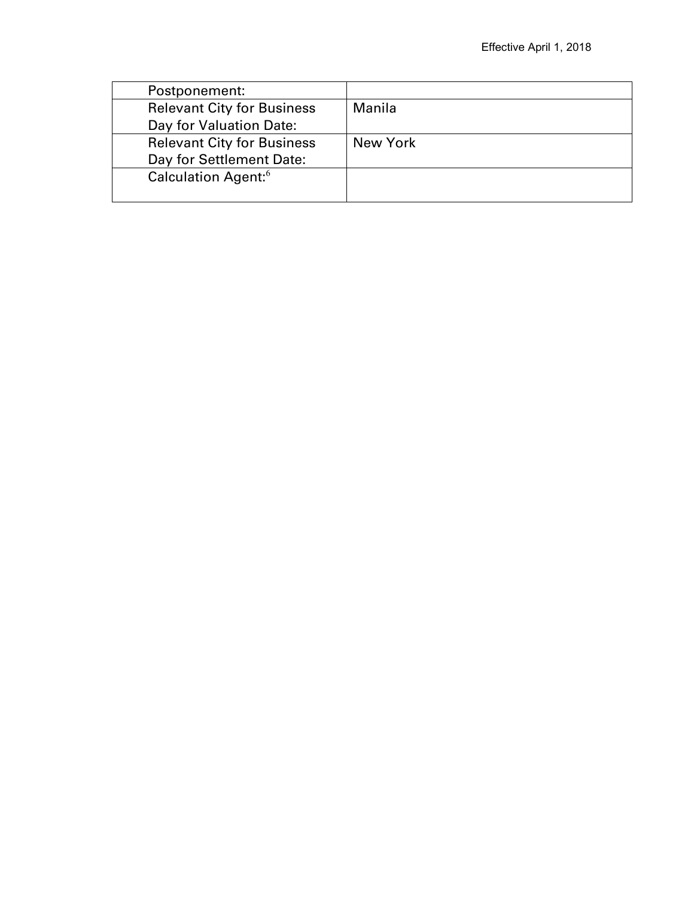| Postponement:                     |          |
|-----------------------------------|----------|
| <b>Relevant City for Business</b> | Manila   |
| Day for Valuation Date:           |          |
| <b>Relevant City for Business</b> | New York |
| Day for Settlement Date:          |          |
| Calculation Agent: <sup>6</sup>   |          |
|                                   |          |